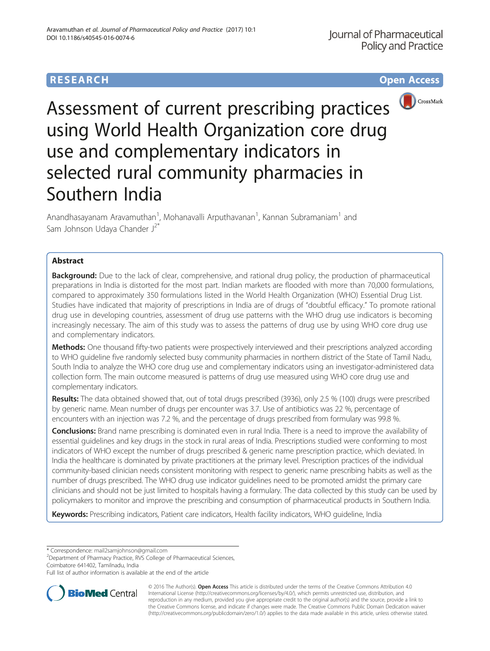# **RESEARCH RESEARCH** *CHECK <b>CHECK*



Assessment of current prescribing practices using World Health Organization core drug use and complementary indicators in selected rural community pharmacies in Southern India

Anandhasayanam Aravamuthan<sup>1</sup>, Mohanavalli Arputhavanan<sup>1</sup>, Kannan Subramaniam<sup>1</sup> and Sam Johnson Udaya Chander J<sup>2\*</sup>

## Abstract

**Background:** Due to the lack of clear, comprehensive, and rational drug policy, the production of pharmaceutical preparations in India is distorted for the most part. Indian markets are flooded with more than 70,000 formulations, compared to approximately 350 formulations listed in the World Health Organization (WHO) Essential Drug List. Studies have indicated that majority of prescriptions in India are of drugs of "doubtful efficacy." To promote rational drug use in developing countries, assessment of drug use patterns with the WHO drug use indicators is becoming increasingly necessary. The aim of this study was to assess the patterns of drug use by using WHO core drug use and complementary indicators.

Methods: One thousand fifty-two patients were prospectively interviewed and their prescriptions analyzed according to WHO guideline five randomly selected busy community pharmacies in northern district of the State of Tamil Nadu, South India to analyze the WHO core drug use and complementary indicators using an investigator-administered data collection form. The main outcome measured is patterns of drug use measured using WHO core drug use and complementary indicators.

Results: The data obtained showed that, out of total drugs prescribed (3936), only 2.5 % (100) drugs were prescribed by generic name. Mean number of drugs per encounter was 3.7. Use of antibiotics was 22 %, percentage of encounters with an injection was 7.2 %, and the percentage of drugs prescribed from formulary was 99.8 %.

Conclusions: Brand name prescribing is dominated even in rural India. There is a need to improve the availability of essential guidelines and key drugs in the stock in rural areas of India. Prescriptions studied were conforming to most indicators of WHO except the number of drugs prescribed & generic name prescription practice, which deviated. In India the healthcare is dominated by private practitioners at the primary level. Prescription practices of the individual community-based clinician needs consistent monitoring with respect to generic name prescribing habits as well as the number of drugs prescribed. The WHO drug use indicator guidelines need to be promoted amidst the primary care clinicians and should not be just limited to hospitals having a formulary. The data collected by this study can be used by policymakers to monitor and improve the prescribing and consumption of pharmaceutical products in Southern India.

Keywords: Prescribing indicators, Patient care indicators, Health facility indicators, WHO quideline, India

\* Correspondence: [mail2samjohnson@gmail.com](mailto:mail2samjohnson@gmail.com) <sup>2</sup>

<sup>2</sup>Department of Pharmacy Practice, RVS College of Pharmaceutical Sciences, Coimbatore 641402, Tamilnadu, India

Full list of author information is available at the end of the article



© 2016 The Author(s). Open Access This article is distributed under the terms of the Creative Commons Attribution 4.0 International License [\(http://creativecommons.org/licenses/by/4.0/](http://creativecommons.org/licenses/by/4.0/)), which permits unrestricted use, distribution, and reproduction in any medium, provided you give appropriate credit to the original author(s) and the source, provide a link to the Creative Commons license, and indicate if changes were made. The Creative Commons Public Domain Dedication waiver [\(http://creativecommons.org/publicdomain/zero/1.0/](http://creativecommons.org/publicdomain/zero/1.0/)) applies to the data made available in this article, unless otherwise stated.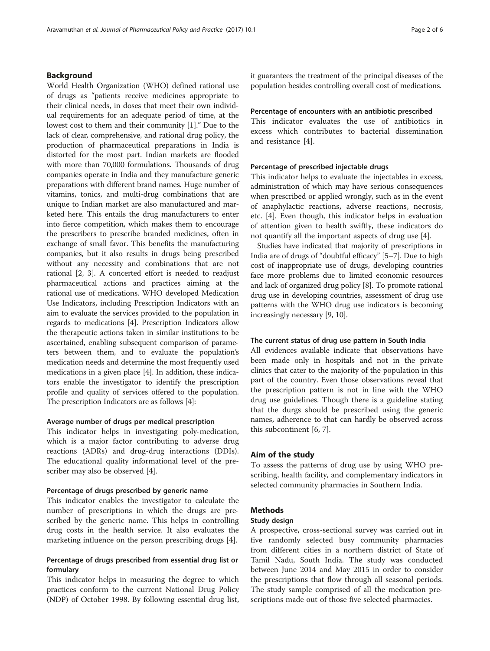World Health Organization (WHO) defined rational use of drugs as "patients receive medicines appropriate to their clinical needs, in doses that meet their own individual requirements for an adequate period of time, at the lowest cost to them and their community [[1](#page-5-0)]." Due to the lack of clear, comprehensive, and rational drug policy, the production of pharmaceutical preparations in India is distorted for the most part. Indian markets are flooded with more than 70,000 formulations. Thousands of drug companies operate in India and they manufacture generic preparations with different brand names. Huge number of vitamins, tonics, and multi-drug combinations that are unique to Indian market are also manufactured and marketed here. This entails the drug manufacturers to enter into fierce competition, which makes them to encourage the prescribers to prescribe branded medicines, often in exchange of small favor. This benefits the manufacturing companies, but it also results in drugs being prescribed without any necessity and combinations that are not rational [\[2, 3](#page-5-0)]. A concerted effort is needed to readjust pharmaceutical actions and practices aiming at the rational use of medications. WHO developed Medication Use Indicators, including Prescription Indicators with an aim to evaluate the services provided to the population in regards to medications [\[4](#page-5-0)]. Prescription Indicators allow the therapeutic actions taken in similar institutions to be ascertained, enabling subsequent comparison of parameters between them, and to evaluate the population's medication needs and determine the most frequently used medications in a given place [[4\]](#page-5-0). In addition, these indicators enable the investigator to identify the prescription profile and quality of services offered to the population. The prescription Indicators are as follows [\[4](#page-5-0)]:

## Average number of drugs per medical prescription

This indicator helps in investigating poly-medication, which is a major factor contributing to adverse drug reactions (ADRs) and drug-drug interactions (DDIs). The educational quality informational level of the prescriber may also be observed [\[4\]](#page-5-0).

#### Percentage of drugs prescribed by generic name

This indicator enables the investigator to calculate the number of prescriptions in which the drugs are prescribed by the generic name. This helps in controlling drug costs in the health service. It also evaluates the marketing influence on the person prescribing drugs [\[4](#page-5-0)].

## Percentage of drugs prescribed from essential drug list or formulary

This indicator helps in measuring the degree to which practices conform to the current National Drug Policy (NDP) of October 1998. By following essential drug list, it guarantees the treatment of the principal diseases of the population besides controlling overall cost of medications.

#### Percentage of encounters with an antibiotic prescribed

This indicator evaluates the use of antibiotics in excess which contributes to bacterial dissemination and resistance [\[4](#page-5-0)].

#### Percentage of prescribed injectable drugs

This indicator helps to evaluate the injectables in excess, administration of which may have serious consequences when prescribed or applied wrongly, such as in the event of anaphylactic reactions, adverse reactions, necrosis, etc. [\[4](#page-5-0)]. Even though, this indicator helps in evaluation of attention given to health swiftly, these indicators do not quantify all the important aspects of drug use [[4](#page-5-0)].

Studies have indicated that majority of prescriptions in India are of drugs of "doubtful efficacy" [[5](#page-5-0)–[7](#page-5-0)]. Due to high cost of inappropriate use of drugs, developing countries face more problems due to limited economic resources and lack of organized drug policy [\[8\]](#page-5-0). To promote rational drug use in developing countries, assessment of drug use patterns with the WHO drug use indicators is becoming increasingly necessary [\[9](#page-5-0), [10](#page-5-0)].

## The current status of drug use pattern in South India

All evidences available indicate that observations have been made only in hospitals and not in the private clinics that cater to the majority of the population in this part of the country. Even those observations reveal that the prescription pattern is not in line with the WHO drug use guidelines. Though there is a guideline stating that the durgs should be prescribed using the generic names, adherence to that can hardly be observed across this subcontinent [[6, 7\]](#page-5-0).

#### Aim of the study

To assess the patterns of drug use by using WHO prescribing, health facility, and complementary indicators in selected community pharmacies in Southern India.

#### Methods

#### Study design

A prospective, cross-sectional survey was carried out in five randomly selected busy community pharmacies from different cities in a northern district of State of Tamil Nadu, South India. The study was conducted between June 2014 and May 2015 in order to consider the prescriptions that flow through all seasonal periods. The study sample comprised of all the medication prescriptions made out of those five selected pharmacies.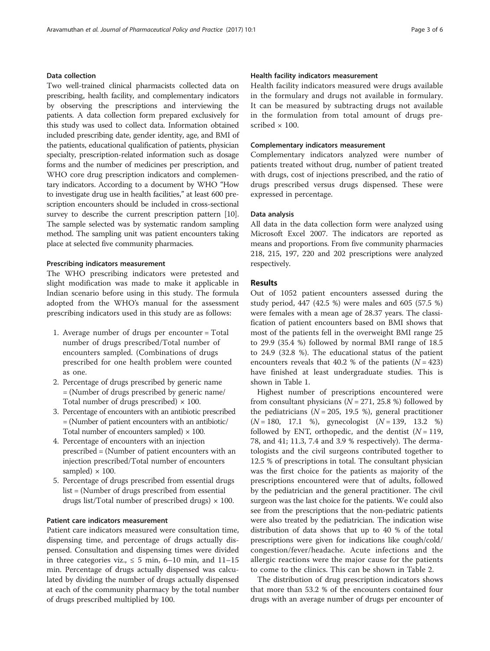## Data collection

Two well-trained clinical pharmacists collected data on prescribing, health facility, and complementary indicators by observing the prescriptions and interviewing the patients. A data collection form prepared exclusively for this study was used to collect data. Information obtained included prescribing date, gender identity, age, and BMI of the patients, educational qualification of patients, physician specialty, prescription-related information such as dosage forms and the number of medicines per prescription, and WHO core drug prescription indicators and complementary indicators. According to a document by WHO "How to investigate drug use in health facilities," at least 600 prescription encounters should be included in cross-sectional survey to describe the current prescription pattern [[10](#page-5-0)]. The sample selected was by systematic random sampling method. The sampling unit was patient encounters taking place at selected five community pharmacies.

#### Prescribing indicators measurement

The WHO prescribing indicators were pretested and slight modification was made to make it applicable in Indian scenario before using in this study. The formula adopted from the WHO's manual for the assessment prescribing indicators used in this study are as follows:

- 1. Average number of drugs per encounter = Total number of drugs prescribed/Total number of encounters sampled. (Combinations of drugs prescribed for one health problem were counted as one.
- 2. Percentage of drugs prescribed by generic name = (Number of drugs prescribed by generic name/ Total number of drugs prescribed)  $\times$  100.
- 3. Percentage of encounters with an antibiotic prescribed = (Number of patient encounters with an antibiotic/ Total number of encounters sampled)  $\times$  100.
- 4. Percentage of encounters with an injection prescribed = (Number of patient encounters with an injection prescribed/Total number of encounters sampled)  $\times$  100.
- 5. Percentage of drugs prescribed from essential drugs list = (Number of drugs prescribed from essential drugs list/Total number of prescribed drugs)  $\times$  100.

## Patient care indicators measurement

Patient care indicators measured were consultation time, dispensing time, and percentage of drugs actually dispensed. Consultation and dispensing times were divided in three categories viz.,  $\leq$  5 min, 6–10 min, and 11–15 min. Percentage of drugs actually dispensed was calculated by dividing the number of drugs actually dispensed at each of the community pharmacy by the total number of drugs prescribed multiplied by 100.

## Health facility indicators measurement

Health facility indicators measured were drugs available in the formulary and drugs not available in formulary. It can be measured by subtracting drugs not available in the formulation from total amount of drugs prescribed  $\times$  100.

#### Complementary indicators measurement

Complementary indicators analyzed were number of patients treated without drug, number of patient treated with drugs, cost of injections prescribed, and the ratio of drugs prescribed versus drugs dispensed. These were expressed in percentage.

#### Data analysis

All data in the data collection form were analyzed using Microsoft Excel 2007. The indicators are reported as means and proportions. From five community pharmacies 218, 215, 197, 220 and 202 prescriptions were analyzed respectively.

## Results

Out of 1052 patient encounters assessed during the study period, 447 (42.5 %) were males and 605 (57.5 %) were females with a mean age of 28.37 years. The classification of patient encounters based on BMI shows that most of the patients fell in the overweight BMI range 25 to 29.9 (35.4 %) followed by normal BMI range of 18.5 to 24.9 (32.8 %). The educational status of the patient encounters reveals that 40.2 % of the patients  $(N = 423)$ have finished at least undergraduate studies. This is shown in Table [1.](#page-3-0)

Highest number of prescriptions encountered were from consultant physicians ( $N = 271, 25.8$  %) followed by the pediatricians ( $N = 205$ , 19.5 %), general practitioner  $(N = 180, 17.1 \%)$ , gynecologist  $(N = 139, 13.2 \%)$ followed by ENT, orthopedic, and the dentist  $(N = 119,$ 78, and 41; 11.3, 7.4 and 3.9 % respectively). The dermatologists and the civil surgeons contributed together to 12.5 % of prescriptions in total. The consultant physician was the first choice for the patients as majority of the prescriptions encountered were that of adults, followed by the pediatrician and the general practitioner. The civil surgeon was the last choice for the patients. We could also see from the prescriptions that the non-pediatric patients were also treated by the pediatrician. The indication wise distribution of data shows that up to 40 % of the total prescriptions were given for indications like cough/cold/ congestion/fever/headache. Acute infections and the allergic reactions were the major cause for the patients to come to the clinics. This can be shown in Table [2.](#page-3-0)

The distribution of drug prescription indicators shows that more than 53.2 % of the encounters contained four drugs with an average number of drugs per encounter of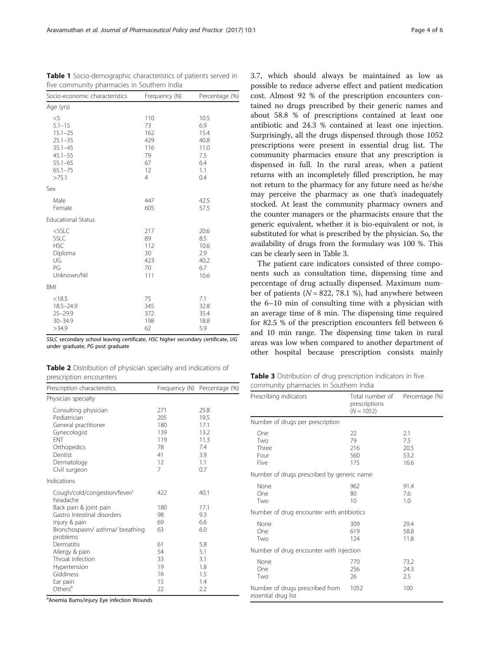SSLC secondary school leaving certificate, HSC higher secondary certificate, UG under graduate, PG post graduate

| <b>Table 2</b> Distribution of physician specialty and indications of |  |  |  |
|-----------------------------------------------------------------------|--|--|--|
| prescription encounters                                               |  |  |  |

| Prescription characteristics                                                                                                                                    |                                                        | Frequency (N) Percentage (%)                                     |
|-----------------------------------------------------------------------------------------------------------------------------------------------------------------|--------------------------------------------------------|------------------------------------------------------------------|
| Physician specialty                                                                                                                                             |                                                        |                                                                  |
| Consulting physician<br>Pediatrician<br>General practitioner<br>Gynecologist<br><b>FNT</b><br>Orthopedics<br>Dentist<br>Dermatology<br>Civil surgeon            | 271<br>205<br>180<br>139<br>119<br>78<br>41<br>12<br>7 | 25.8<br>19.5<br>17.1<br>13.2<br>11.3<br>7.4<br>3.9<br>1.1<br>0.7 |
| Indications                                                                                                                                                     |                                                        |                                                                  |
| Cough/cold/congestion/fever/<br>headache<br>Back pain & joint pain<br>Gastro Intestinal disorders<br>Injury & pain<br>Bronchospasm/asthma/breathing<br>problems | 422<br>180<br>98<br>69<br>63                           | 40.1<br>17.1<br>9.3<br>6.6<br>6.0                                |
| Dermatitis<br>Allergy & pain<br>Throat infection<br>Hypertension<br>Giddiness<br>Ear pain<br>Others <sup>a</sup>                                                | 61<br>54<br>33<br>19<br>16<br>15<br>22                 | 5.8<br>5.1<br>3.1<br>1.8<br>1.5<br>1.4<br>2.2                    |

<sup>a</sup>Anemia Burns/injury Eye infection Wounds

3.7, which should always be maintained as low as possible to reduce adverse effect and patient medication cost. Almost 92 % of the prescription encounters contained no drugs prescribed by their generic names and about 58.8 % of prescriptions contained at least one antibiotic and 24.3 % contained at least one injection. Surprisingly, all the drugs dispensed through those 1052 prescriptions were present in essential drug list. The community pharmacies ensure that any prescription is dispensed in full. In the rural areas, when a patient returns with an incompletely filled prescription, he may not return to the pharmacy for any future need as he/she may perceive the pharmacy as one that's inadequately stocked. At least the community pharmacy owners and the counter managers or the pharmacists ensure that the generic equivalent, whether it is bio-equivalent or not, is substituted for what is prescribed by the physician. So, the availability of drugs from the formulary was 100 %. This can be clearly seen in Table 3.

The patient care indicators consisted of three components such as consultation time, dispensing time and percentage of drug actually dispensed. Maximum number of patients ( $N = 822, 78.1$  %), had anywhere between the 6–10 min of consulting time with a physician with an average time of 8 min. The dispensing time required for 82.5 % of the prescription encounters fell between 6 and 10 min range. The dispensing time taken in rural areas was low when compared to another department of other hospital because prescription consists mainly

| Table 3 Distribution of drug prescription indicators in five |  |  |  |
|--------------------------------------------------------------|--|--|--|
| community pharmacies in Southern India                       |  |  |  |

| Prescribing indicators                                 | Total number of<br>prescriptions<br>$(N = 1052)$ | Percentage (%)                     |
|--------------------------------------------------------|--------------------------------------------------|------------------------------------|
| Number of drugs per prescription                       |                                                  |                                    |
| One<br>Two<br>Three<br>Four<br>Five                    | 22<br>79<br>216<br>560<br>175                    | 2.1<br>7.5<br>20.5<br>53.2<br>16.6 |
| Number of drugs prescribed by generic name             |                                                  |                                    |
| None<br>One<br>Two                                     | 962<br>80<br>10                                  | 91.4<br>7.6<br>1.0                 |
| Number of drug encounter with antibiotics              |                                                  |                                    |
| None<br>One<br>Two                                     | 309<br>619<br>124                                | 29.4<br>58.8<br>11.8               |
| Number of drug encounter with injection                |                                                  |                                    |
| None<br>One<br>Two                                     | 770<br>256<br>26                                 | 73.2<br>24.3<br>2.5                |
| Number of drugs prescribed from<br>essential drug list | 1052                                             | 100                                |

Table 1 Socio-demographic characteristics of patients served in five community pharmacies in Southern India

| Socio-economic characteristics                                                                                         | Frequency (N)                                                      | Percentage (%)                                                  |  |
|------------------------------------------------------------------------------------------------------------------------|--------------------------------------------------------------------|-----------------------------------------------------------------|--|
| Age (yrs)                                                                                                              |                                                                    |                                                                 |  |
| $<$ 5<br>$5.1 - 15$<br>$15.1 - 25$<br>$25.1 - 35$<br>$35.1 - 45$<br>$45.1 - 55$<br>$55.1 - 65$<br>$65.1 - 75$<br>>75.1 | 110<br>73<br>162<br>429<br>116<br>79<br>67<br>12<br>$\overline{4}$ | 10.5<br>6.9<br>15.4<br>40.8<br>11.0<br>7.5<br>6.4<br>1.1<br>0.4 |  |
| Sex                                                                                                                    |                                                                    |                                                                 |  |
| Male<br>Female                                                                                                         | 447<br>605                                                         | 42.5<br>57.5                                                    |  |
| <b>Educational Status</b>                                                                                              |                                                                    |                                                                 |  |
| $<$ SSLC<br><b>SSLC</b><br><b>HSC</b><br>Diploma<br>UG<br>PG<br>Unknown/Nil                                            | 217<br>89<br>112<br>30<br>423<br>70<br>111                         | 20.6<br>8.5<br>10.6<br>2.9<br>40.2<br>6.7<br>10.6               |  |
| <b>BMI</b>                                                                                                             |                                                                    |                                                                 |  |
| < 18.5<br>$18.5 - 24.9$<br>$25 - 29.9$<br>$30 - 34.9$<br>>34.9                                                         | 75<br>345<br>372<br>198<br>62                                      | 7.1<br>32.8<br>35.4<br>18.8<br>5.9                              |  |

<span id="page-3-0"></span>Aravamuthan et al. Journal of Pharmaceutical Policy and Practice (2017) 10:1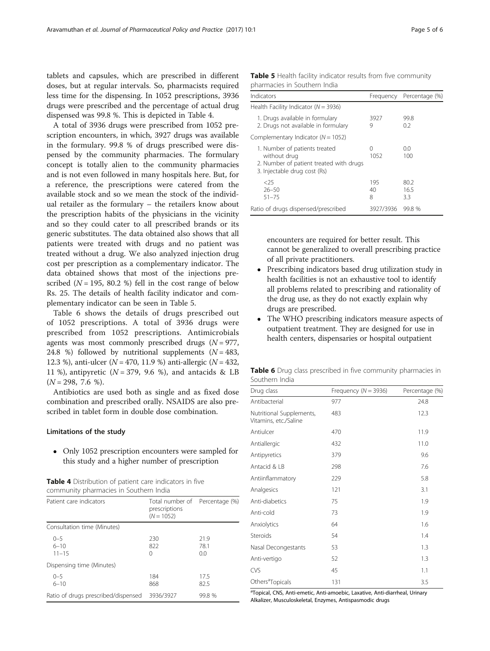tablets and capsules, which are prescribed in different doses, but at regular intervals. So, pharmacists required less time for the dispensing. In 1052 prescriptions, 3936 drugs were prescribed and the percentage of actual drug dispensed was 99.8 %. This is depicted in Table 4.

A total of 3936 drugs were prescribed from 1052 prescription encounters, in which, 3927 drugs was available in the formulary. 99.8 % of drugs prescribed were dispensed by the community pharmacies. The formulary concept is totally alien to the community pharmacies and is not even followed in many hospitals here. But, for a reference, the prescriptions were catered from the available stock and so we mean the stock of the individual retailer as the formulary – the retailers know about the prescription habits of the physicians in the vicinity and so they could cater to all prescribed brands or its generic substitutes. The data obtained also shows that all patients were treated with drugs and no patient was treated without a drug. We also analyzed injection drug cost per prescription as a complementary indicator. The data obtained shows that most of the injections prescribed ( $N = 195$ , 80.2 %) fell in the cost range of below Rs. 25. The details of health facility indicator and complementary indicator can be seen in Table 5.

Table 6 shows the details of drugs prescribed out of 1052 prescriptions. A total of 3936 drugs were prescribed from 1052 prescriptions. Antimicrobials agents was most commonly prescribed drugs  $(N = 977)$ , 24.8 %) followed by nutritional supplements  $(N = 483,$ 12.3 %), anti-ulcer ( $N = 470, 11.9$  %) anti-allergic ( $N = 432$ , 11 %), antipyretic ( $N = 379$ , 9.6 %), and antacids & LB  $(N = 298, 7.6 %).$ 

Antibiotics are used both as single and as fixed dose combination and prescribed orally. NSAIDS are also prescribed in tablet form in double dose combination.

### Limitations of the study

 Only 1052 prescription encounters were sampled for this study and a higher number of prescription

| Table 4 Distribution of patient care indicators in five |  |
|---------------------------------------------------------|--|
| community pharmacies in Southern India                  |  |

| Patient care indicators             | Total number of Percentage (%)<br>prescriptions<br>$(N = 1052)$ |                     |
|-------------------------------------|-----------------------------------------------------------------|---------------------|
| Consultation time (Minutes)         |                                                                 |                     |
| $0 - 5$<br>$6 - 10$<br>$11 - 15$    | 230<br>822<br>$\left( \right)$                                  | 21.9<br>78.1<br>0.0 |
| Dispensing time (Minutes)           |                                                                 |                     |
| $0 - 5$<br>$6 - 10$                 | 184<br>868                                                      | 17.5<br>82.5        |
| Ratio of drugs prescribed/dispensed | 3936/3927                                                       | 99.8%               |

|  |  | Table 5 Health facility indicator results from five community |  |  |  |
|--|--|---------------------------------------------------------------|--|--|--|
|  |  | pharmacies in Southern India                                  |  |  |  |

| Indicators                                                                                                               | Frequency      | Percentage (%)      |
|--------------------------------------------------------------------------------------------------------------------------|----------------|---------------------|
| Health Facility Indicator ( $N = 3936$ )                                                                                 |                |                     |
| 1. Drugs available in formulary<br>2. Drugs not available in formulary                                                   | 3927<br>9      | 99.8<br>0.2         |
| Complementary Indicator ( $N = 1052$ )                                                                                   |                |                     |
| 1. Number of patients treated<br>without drug<br>2. Number of patient treated with drugs<br>3. Injectable drug cost (Rs) | Λ<br>1052      | 0.0<br>100          |
| $<$ 25<br>$26 - 50$<br>$51 - 75$                                                                                         | 195<br>40<br>8 | 80.2<br>16.5<br>3.3 |
| Ratio of drugs dispensed/prescribed                                                                                      | 3927/3936      | 99.8 %              |

encounters are required for better result. This cannot be generalized to overall prescribing practice of all private practitioners.

- Prescribing indicators based drug utilization study in health facilities is not an exhaustive tool to identify all problems related to prescribing and rationality of the drug use, as they do not exactly explain why drugs are prescribed.
- The WHO prescribing indicators measure aspects of outpatient treatment. They are designed for use in health centers, dispensaries or hospital outpatient

Table 6 Drug class prescribed in five community pharmacies in Southern India

| Drug class                                        | Frequency ( $N = 3936$ ) | Percentage (%) |
|---------------------------------------------------|--------------------------|----------------|
| Antibacterial                                     | 977                      | 24.8           |
| Nutritional Supplements,<br>Vitamins, etc./Saline | 483                      | 12.3           |
| Antiulcer                                         | 470                      | 11.9           |
| Antiallergic                                      | 432                      | 11.0           |
| Antipyretics                                      | 379                      | 9.6            |
| Antacid & LB                                      | 298                      | 7.6            |
| Antiinflammatory                                  | 229                      | 5.8            |
| Analgesics                                        | 121                      | 3.1            |
| Anti-diabetics                                    | 75                       | 1.9            |
| Anti-cold                                         | 73                       | 1.9            |
| Anxiolytics                                       | 64                       | 1.6            |
| Steroids                                          | 54                       | 1.4            |
| Nasal Decongestants                               | 53                       | 1.3            |
| Anti-vertigo                                      | 52                       | 1.3            |
| CVS                                               | 45                       | 1.1            |
| Others <sup>a</sup> Topicals                      | 131                      | 3.5            |

<sup>a</sup>Topical, CNS, Anti-emetic, Anti-amoebic, Laxative, Anti-diarrheal, Urinary Alkalizer, Musculoskeletal, Enzymes, Antispasmodic drugs